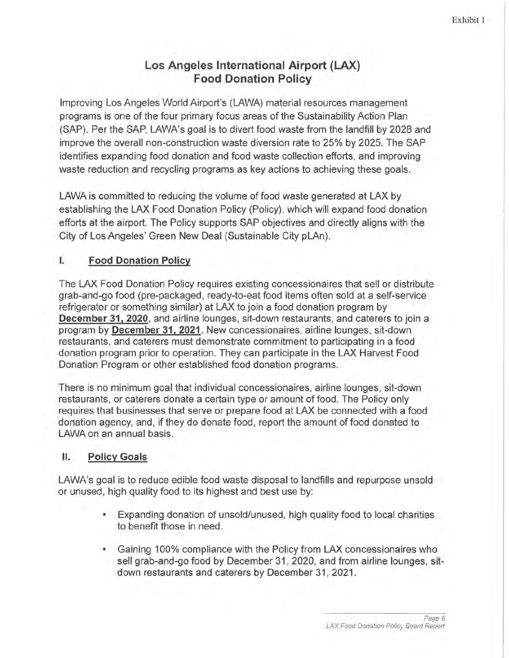## **Los Angeles International Airport {LAX) Food Donation Policy**

Improving Los Angeles World Airport's (LAWA) material resources management programs is one of the four primary focus areas of the Sustainability Action Plan (SAP). Per the SAP, LAWA's goal is to divert food waste from the landfill by 2028 and improve the overall non-construction waste diversion rate to 25% by 2025. The SAP identifies expanding food donation and food waste collection efforts, and improving waste reduction and recycling programs as key actions to achieving these goals.

LAWA is committed to reducing the volume of food waste generated at LAX by establishing the LAX Food Donation Policy (Policy), which will expand food donation efforts at the airport. The Policy supports SAP objectives and directly aligns with the City of Los Angeles' Green New Deal (Sustainable City pLAn).

### I. **Food Donation Policy**

The LAX Food Donation Policy requires existing concessionaires that sell or distribute grab-and-go food (pre-packaged, ready-to-eat food items often sold at a self-service refrigerator or something similar) at LAX to join a food donation program by **December 31, 2020**, and airline lounges, sit-down restaurants, and caterers to join a program by **December 31, 2021.** New concessionaires, airline lounges, sit-down restaurants, and caterers must demonstrate commitment to participating in a food donation program prior to operation. They can participate in the LAX Harvest Food Donation Program or other established food donation programs.

There is no minimum goal that individual concessionaires, airline lounges, sit-down restaurants, or caterers donate a certain type or amount of food. The Policy only requires that businesses that serve or prepare food at LAX be connected with a food donation agency, and, if they do donate food, report the amount of food donated to LAWA on an annual basis.

#### II. **Policy Goals**

LAWA's goal is to reduce edible food waste disposal to landfills and repurpose unsold or unused, high quality food to its highest and best use by:

- Expanding donation of unsold/unused, high quality food to local charities to benefit those in need.
- Gaining 100% compliance with the Policy from LAX concessionaires who sell grab-and-go food by December 31, 2020, and from airline lounges, sitdown restaurants and caterers by December 31, 2021.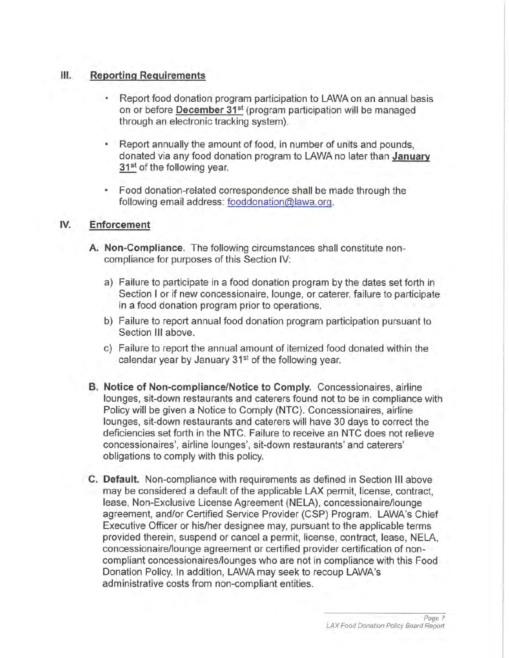#### Ill. **Reporting Requirements**

- Report food donation program participation to LAWA on an annual basis on or before **December 31<sup>st</sup>** (program participation will be managed through an electronic tracking system).
- Report annually the amount of food, in number of units and pounds. donated via any food donation program to LAWA no later than **January 31<sup>st</sup>** of the following year.
- Food donation-related correspondence shall be made through the following email address: fooddonation@lawa.org.

#### **IV. Enforcement**

- **A. Non-Compliance.** The following circumstances shall constitute noncompliance for purposes of this Section IV:
	- a) Failure to participate in a food donation program by the dates set forth in Section I or if new concessionaire, lounge, or caterer, failure to participate in a food donation program prior to operations.
	- b) Failure to report annual food donation program participation pursuant to Section **III** above.
	- c) Failure to report the annual amount of itemized food donated within the calendar year by January 31<sup>st</sup> of the following year.
- **B. Notice of Non-compliance/Notice to Comply.** Concessionaires, airline lounges, sit-down restaurants and caterers found not to be in compliance with Policy will be given a Notice to Comply (NTC). Concessionaires, airline lounges, sit-down restaurants and caterers will have 30 days to correct the deficiencies set forth in the NTC. Failure to receive an NTC does not relieve concessionaires', airline lounges', sit-down restaurants' and caterers' obligations to comply with this policy.
- **C. Default.** Non-compliance with requirements as defined in Section Ill above may be considered a default of the applicable LAX permit, license, contract, lease, Non-Exclusive License Agreement (NELA), concessionaire/lounge agreement, and/or Certified Service Provider (CSP) Program. LAWA's Chief Executive Officer or his/her designee may, pursuant to the applicable terms provided therein, suspend or cancel a permit, license, contract, lease, NELA, concessionaire/lounge agreement or certified provider certification of noncompliant concessionaires/lounges who are not in compliance with this Food Donation Policy. In addition, LAWA may seek to recoup LAWA's administrative costs from non-compliant entities.